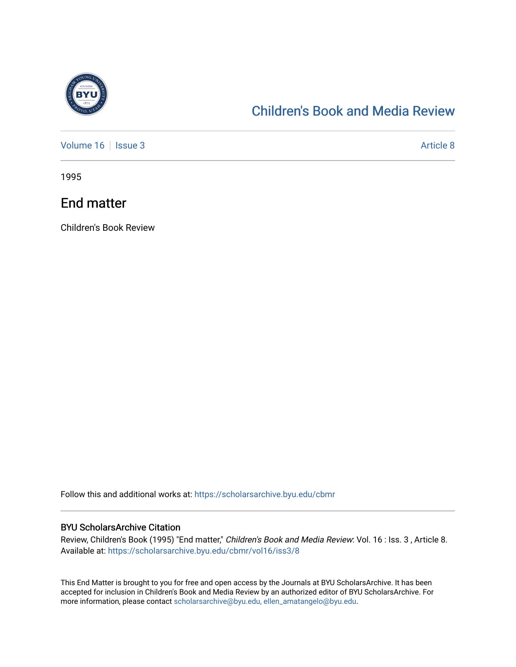

## [Children's Book and Media Review](https://scholarsarchive.byu.edu/cbmr)

[Volume 16](https://scholarsarchive.byu.edu/cbmr/vol16) | [Issue 3](https://scholarsarchive.byu.edu/cbmr/vol16/iss3) Article 8

1995

## End matter

Children's Book Review

Follow this and additional works at: [https://scholarsarchive.byu.edu/cbmr](https://scholarsarchive.byu.edu/cbmr?utm_source=scholarsarchive.byu.edu%2Fcbmr%2Fvol16%2Fiss3%2F8&utm_medium=PDF&utm_campaign=PDFCoverPages) 

## BYU ScholarsArchive Citation

Review, Children's Book (1995) "End matter," Children's Book and Media Review: Vol. 16 : Iss. 3 , Article 8. Available at: [https://scholarsarchive.byu.edu/cbmr/vol16/iss3/8](https://scholarsarchive.byu.edu/cbmr/vol16/iss3/8?utm_source=scholarsarchive.byu.edu%2Fcbmr%2Fvol16%2Fiss3%2F8&utm_medium=PDF&utm_campaign=PDFCoverPages) 

This End Matter is brought to you for free and open access by the Journals at BYU ScholarsArchive. It has been accepted for inclusion in Children's Book and Media Review by an authorized editor of BYU ScholarsArchive. For more information, please contact [scholarsarchive@byu.edu, ellen\\_amatangelo@byu.edu.](mailto:scholarsarchive@byu.edu,%20ellen_amatangelo@byu.edu)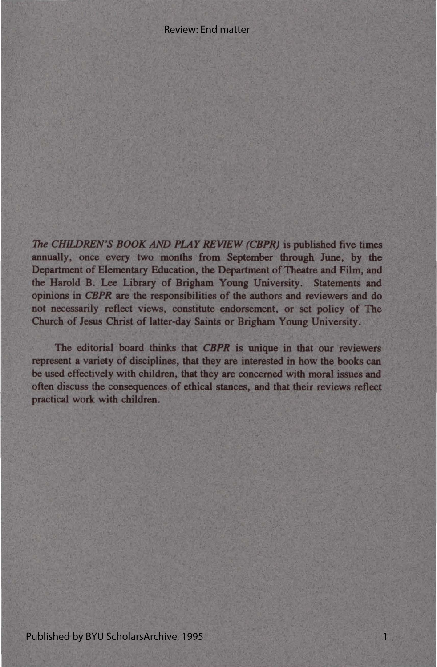*The CHILDREN'S BOOK AND PLAY REVIEW (CBPR)* is published five times annually, once every two months from September through June, by the Department of Elementary Education, the Department of Theatre and Film, and the Harold B. Lee Library of Brigham Young University. Statements and opinions in *CBPR* are the responsibilities of the authors and reviewers and do not necessarily reflect views, constitute endorsement, or set policy of The Church of Jesus Christ of latter-day Saints or Brigham Young University.

The editorial board thinks that *CBPR* is unique in that our reviewers represent a variety of disciplines, that they are interested in how the books can be used effectively with children, that they are concerned with moral issues and often discuss the consequences of ethical stances, and that their reviews reflect practical work with children.